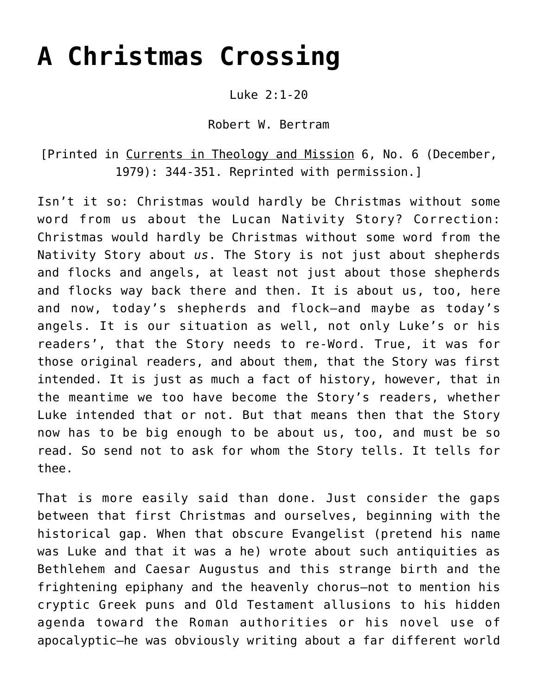# **[A Christmas Crossing](https://crossings.org/a-christmas-crossing/)**

Luke 2:1-20

Robert W. Bertram

[Printed in Currents in Theology and Mission 6, No. 6 (December, 1979): 344-351. Reprinted with permission.]

Isn't it so: Christmas would hardly be Christmas without some word from us about the Lucan Nativity Story? Correction: Christmas would hardly be Christmas without some word from the Nativity Story about *us*. The Story is not just about shepherds and flocks and angels, at least not just about those shepherds and flocks way back there and then. It is about us, too, here and now, today's shepherds and flock—and maybe as today's angels. It is our situation as well, not only Luke's or his readers', that the Story needs to re-Word. True, it was for those original readers, and about them, that the Story was first intended. It is just as much a fact of history, however, that in the meantime we too have become the Story's readers, whether Luke intended that or not. But that means then that the Story now has to be big enough to be about us, too, and must be so read. So send not to ask for whom the Story tells. It tells for thee.

That is more easily said than done. Just consider the gaps between that first Christmas and ourselves, beginning with the historical gap. When that obscure Evangelist (pretend his name was Luke and that it was a he) wrote about such antiquities as Bethlehem and Caesar Augustus and this strange birth and the frightening epiphany and the heavenly chorus—not to mention his cryptic Greek puns and Old Testament allusions to his hidden agenda toward the Roman authorities or his novel use of apocalyptic—he was obviously writing about a far different world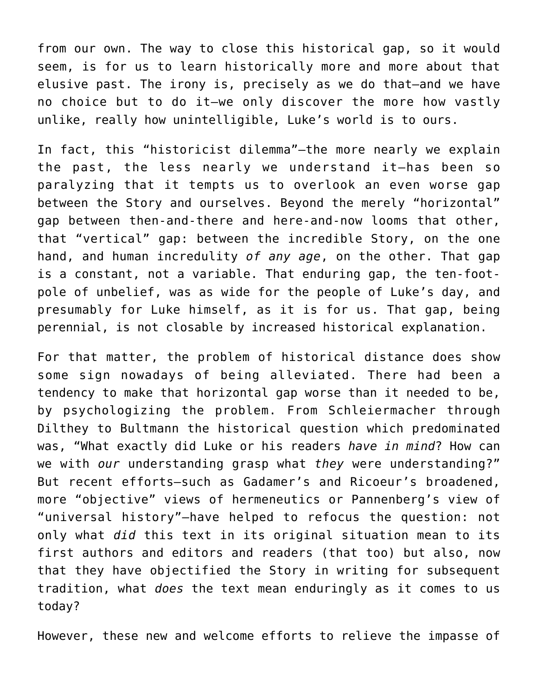from our own. The way to close this historical gap, so it would seem, is for us to learn historically more and more about that elusive past. The irony is, precisely as we do that—and we have no choice but to do it—we only discover the more how vastly unlike, really how unintelligible, Luke's world is to ours.

In fact, this "historicist dilemma"—the more nearly we explain the past, the less nearly we understand it—has been so paralyzing that it tempts us to overlook an even worse gap between the Story and ourselves. Beyond the merely "horizontal" gap between then-and-there and here-and-now looms that other, that "vertical" gap: between the incredible Story, on the one hand, and human incredulity *of any age*, on the other. That gap is a constant, not a variable. That enduring gap, the ten-footpole of unbelief, was as wide for the people of Luke's day, and presumably for Luke himself, as it is for us. That gap, being perennial, is not closable by increased historical explanation.

For that matter, the problem of historical distance does show some sign nowadays of being alleviated. There had been a tendency to make that horizontal gap worse than it needed to be, by psychologizing the problem. From Schleiermacher through Dilthey to Bultmann the historical question which predominated was, "What exactly did Luke or his readers *have in mind*? How can we with *our* understanding grasp what *they* were understanding?" But recent efforts—such as Gadamer's and Ricoeur's broadened, more "objective" views of hermeneutics or Pannenberg's view of "universal history"—have helped to refocus the question: not only what *did* this text in its original situation mean to its first authors and editors and readers (that too) but also, now that they have objectified the Story in writing for subsequent tradition, what *does* the text mean enduringly as it comes to us today?

However, these new and welcome efforts to relieve the impasse of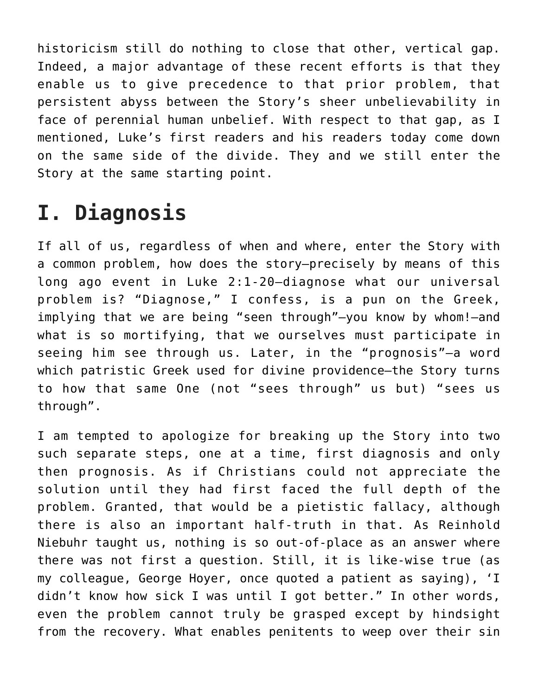historicism still do nothing to close that other, vertical gap. Indeed, a major advantage of these recent efforts is that they enable us to give precedence to that prior problem, that persistent abyss between the Story's sheer unbelievability in face of perennial human unbelief. With respect to that gap, as I mentioned, Luke's first readers and his readers today come down on the same side of the divide. They and we still enter the Story at the same starting point.

# **I. Diagnosis**

If all of us, regardless of when and where, enter the Story with a common problem, how does the story—precisely by means of this long ago event in Luke 2:1-20—diagnose what our universal problem is? "Diagnose," I confess, is a pun on the Greek, implying that we are being "seen through"—you know by whom!—and what is so mortifying, that we ourselves must participate in seeing him see through us. Later, in the "prognosis"—a word which patristic Greek used for divine providence—the Story turns to how that same One (not "sees through" us but) "sees us through".

I am tempted to apologize for breaking up the Story into two such separate steps, one at a time, first diagnosis and only then prognosis. As if Christians could not appreciate the solution until they had first faced the full depth of the problem. Granted, that would be a pietistic fallacy, although there is also an important half-truth in that. As Reinhold Niebuhr taught us, nothing is so out-of-place as an answer where there was not first a question. Still, it is like-wise true (as my colleague, George Hoyer, once quoted a patient as saying), 'I didn't know how sick I was until I got better." In other words, even the problem cannot truly be grasped except by hindsight from the recovery. What enables penitents to weep over their sin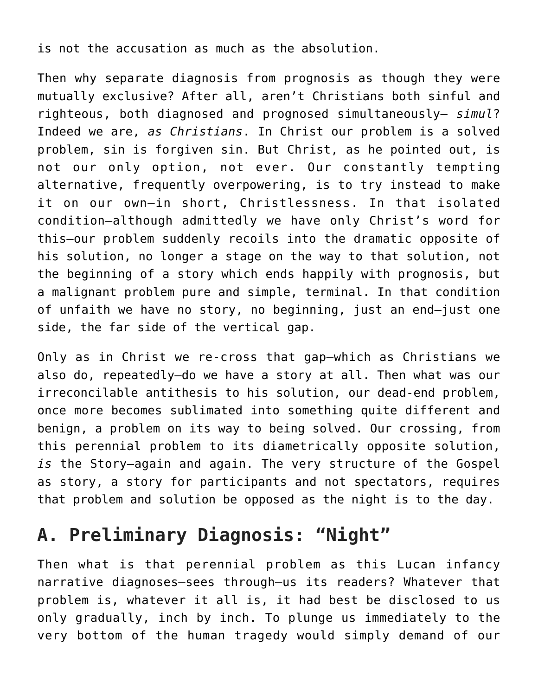is not the accusation as much as the absolution.

Then why separate diagnosis from prognosis as though they were mutually exclusive? After all, aren't Christians both sinful and righteous, both diagnosed and prognosed simultaneously— *simul*? Indeed we are, *as Christians*. In Christ our problem is a solved problem, sin is forgiven sin. But Christ, as he pointed out, is not our only option, not ever. Our constantly tempting alternative, frequently overpowering, is to try instead to make it on our own—in short, Christlessness. In that isolated condition—although admittedly we have only Christ's word for this—our problem suddenly recoils into the dramatic opposite of his solution, no longer a stage on the way to that solution, not the beginning of a story which ends happily with prognosis, but a malignant problem pure and simple, terminal. In that condition of unfaith we have no story, no beginning, just an end—just one side, the far side of the vertical gap.

Only as in Christ we re-cross that gap—which as Christians we also do, repeatedly—do we have a story at all. Then what was our irreconcilable antithesis to his solution, our dead-end problem, once more becomes sublimated into something quite different and benign, a problem on its way to being solved. Our crossing, from this perennial problem to its diametrically opposite solution, *is* the Story—again and again. The very structure of the Gospel as story, a story for participants and not spectators, requires that problem and solution be opposed as the night is to the day.

## **A. Preliminary Diagnosis: "Night"**

Then what is that perennial problem as this Lucan infancy narrative diagnoses—sees through—us its readers? Whatever that problem is, whatever it all is, it had best be disclosed to us only gradually, inch by inch. To plunge us immediately to the very bottom of the human tragedy would simply demand of our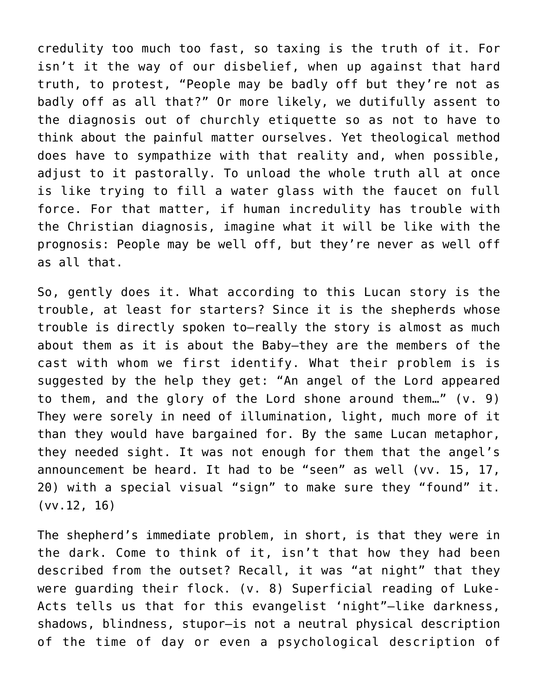credulity too much too fast, so taxing is the truth of it. For isn't it the way of our disbelief, when up against that hard truth, to protest, "People may be badly off but they're not as badly off as all that?" Or more likely, we dutifully assent to the diagnosis out of churchly etiquette so as not to have to think about the painful matter ourselves. Yet theological method does have to sympathize with that reality and, when possible, adjust to it pastorally. To unload the whole truth all at once is like trying to fill a water glass with the faucet on full force. For that matter, if human incredulity has trouble with the Christian diagnosis, imagine what it will be like with the prognosis: People may be well off, but they're never as well off as all that.

So, gently does it. What according to this Lucan story is the trouble, at least for starters? Since it is the shepherds whose trouble is directly spoken to—really the story is almost as much about them as it is about the Baby—they are the members of the cast with whom we first identify. What their problem is is suggested by the help they get: "An angel of the Lord appeared to them, and the glory of the Lord shone around them…" (v. 9) They were sorely in need of illumination, light, much more of it than they would have bargained for. By the same Lucan metaphor, they needed sight. It was not enough for them that the angel's announcement be heard. It had to be "seen" as well (vv. 15, 17, 20) with a special visual "sign" to make sure they "found" it. (vv.12, 16)

The shepherd's immediate problem, in short, is that they were in the dark. Come to think of it, isn't that how they had been described from the outset? Recall, it was "at night" that they were guarding their flock. (v. 8) Superficial reading of Luke-Acts tells us that for this evangelist 'night"—like darkness, shadows, blindness, stupor—is not a neutral physical description of the time of day or even a psychological description of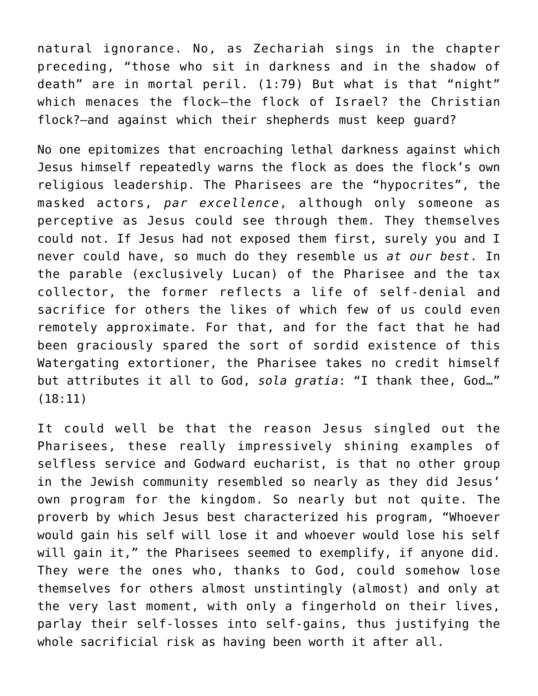natural ignorance. No, as Zechariah sings in the chapter preceding, "those who sit in darkness and in the shadow of death" are in mortal peril. (1:79) But what is that "night" which menaces the flock—the flock of Israel? the Christian flock?—and against which their shepherds must keep guard?

No one epitomizes that encroaching lethal darkness against which Jesus himself repeatedly warns the flock as does the flock's own religious leadership. The Pharisees are the "hypocrites", the masked actors, *par excellence*, although only someone as perceptive as Jesus could see through them. They themselves could not. If Jesus had not exposed them first, surely you and I never could have, so much do they resemble us *at our best*. In the parable (exclusively Lucan) of the Pharisee and the tax collector, the former reflects a life of self-denial and sacrifice for others the likes of which few of us could even remotely approximate. For that, and for the fact that he had been graciously spared the sort of sordid existence of this Watergating extortioner, the Pharisee takes no credit himself but attributes it all to God, *sola gratia*: "I thank thee, God…" (18:11)

It could well be that the reason Jesus singled out the Pharisees, these really impressively shining examples of selfless service and Godward eucharist, is that no other group in the Jewish community resembled so nearly as they did Jesus' own program for the kingdom. So nearly but not quite. The proverb by which Jesus best characterized his program, "Whoever would gain his self will lose it and whoever would lose his self will gain it," the Pharisees seemed to exemplify, if anyone did. They were the ones who, thanks to God, could somehow lose themselves for others almost unstintingly (almost) and only at the very last moment, with only a fingerhold on their lives, parlay their self-losses into self-gains, thus justifying the whole sacrificial risk as having been worth it after all.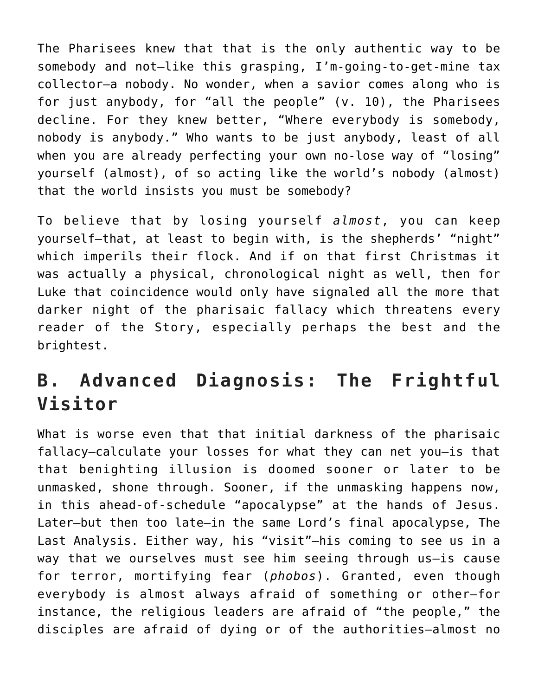The Pharisees knew that that is the only authentic way to be somebody and not—like this grasping, I'm-going-to-get-mine tax collector—a nobody. No wonder, when a savior comes along who is for just anybody, for "all the people" (v. 10), the Pharisees decline. For they knew better, "Where everybody is somebody, nobody is anybody." Who wants to be just anybody, least of all when you are already perfecting your own no-lose way of "losing" yourself (almost), of so acting like the world's nobody (almost) that the world insists you must be somebody?

To believe that by losing yourself *almost*, you can keep yourself—that, at least to begin with, is the shepherds' "night" which imperils their flock. And if on that first Christmas it was actually a physical, chronological night as well, then for Luke that coincidence would only have signaled all the more that darker night of the pharisaic fallacy which threatens every reader of the Story, especially perhaps the best and the brightest.

# **B. Advanced Diagnosis: The Frightful Visitor**

What is worse even that that initial darkness of the pharisaic fallacy—calculate your losses for what they can net you—is that that benighting illusion is doomed sooner or later to be unmasked, shone through. Sooner, if the unmasking happens now, in this ahead-of-schedule "apocalypse" at the hands of Jesus. Later—but then too late—in the same Lord's final apocalypse, The Last Analysis. Either way, his "visit"—his coming to see us in a way that we ourselves must see him seeing through us—is cause for terror, mortifying fear (*phobos*). Granted, even though everybody is almost always afraid of something or other—for instance, the religious leaders are afraid of "the people," the disciples are afraid of dying or of the authorities—almost no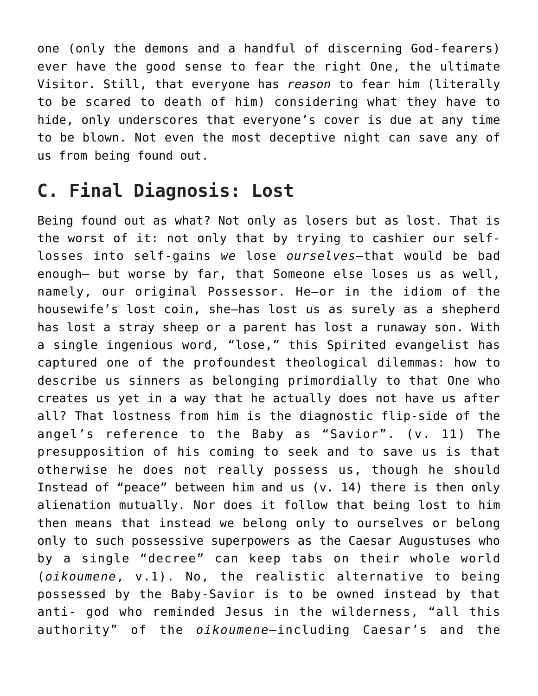one (only the demons and a handful of discerning God-fearers) ever have the good sense to fear the right One, the ultimate Visitor. Still, that everyone has *reason* to fear him (literally to be scared to death of him) considering what they have to hide, only underscores that everyone's cover is due at any time to be blown. Not even the most deceptive night can save any of us from being found out.

#### **C. Final Diagnosis: Lost**

Being found out as what? Not only as losers but as lost. That is the worst of it: not only that by trying to cashier our selflosses into self-gains *we* lose *ourselves*—that would be bad enough— but worse by far, that Someone else loses us as well, namely, our original Possessor. He—or in the idiom of the housewife's lost coin, she—has lost us as surely as a shepherd has lost a stray sheep or a parent has lost a runaway son. With a single ingenious word, "lose," this Spirited evangelist has captured one of the profoundest theological dilemmas: how to describe us sinners as belonging primordially to that One who creates us yet in a way that he actually does not have us after all? That lostness from him is the diagnostic flip-side of the angel's reference to the Baby as "Savior". (v. 11) The presupposition of his coming to seek and to save us is that otherwise he does not really possess us, though he should Instead of "peace" between him and us (v. 14) there is then only alienation mutually. Nor does it follow that being lost to him then means that instead we belong only to ourselves or belong only to such possessive superpowers as the Caesar Augustuses who by a single "decree" can keep tabs on their whole world (*oikoumene*, v.1). No, the realistic alternative to being possessed by the Baby-Savior is to be owned instead by that anti- god who reminded Jesus in the wilderness, "all this authority" of the *oikoumene*—including Caesar's and the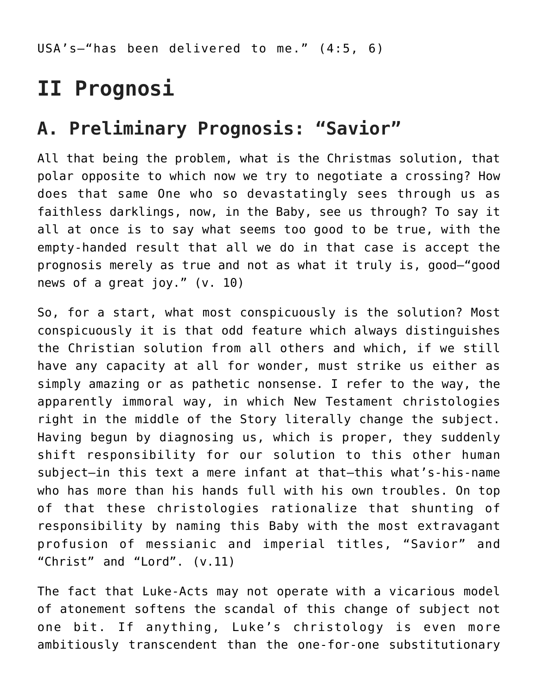USA's—"has been delivered to me." (4:5, 6)

# **II Prognosi**

#### **A. Preliminary Prognosis: "Savior"**

All that being the problem, what is the Christmas solution, that polar opposite to which now we try to negotiate a crossing? How does that same One who so devastatingly sees through us as faithless darklings, now, in the Baby, see us through? To say it all at once is to say what seems too good to be true, with the empty-handed result that all we do in that case is accept the prognosis merely as true and not as what it truly is, good—"good news of a great joy." (v. 10)

So, for a start, what most conspicuously is the solution? Most conspicuously it is that odd feature which always distinguishes the Christian solution from all others and which, if we still have any capacity at all for wonder, must strike us either as simply amazing or as pathetic nonsense. I refer to the way, the apparently immoral way, in which New Testament christologies right in the middle of the Story literally change the subject. Having begun by diagnosing us, which is proper, they suddenly shift responsibility for our solution to this other human subject—in this text a mere infant at that—this what's-his-name who has more than his hands full with his own troubles. On top of that these christologies rationalize that shunting of responsibility by naming this Baby with the most extravagant profusion of messianic and imperial titles, "Savior" and "Christ" and "Lord". (v.11)

The fact that Luke-Acts may not operate with a vicarious model of atonement softens the scandal of this change of subject not one bit. If anything, Luke's christology is even more ambitiously transcendent than the one-for-one substitutionary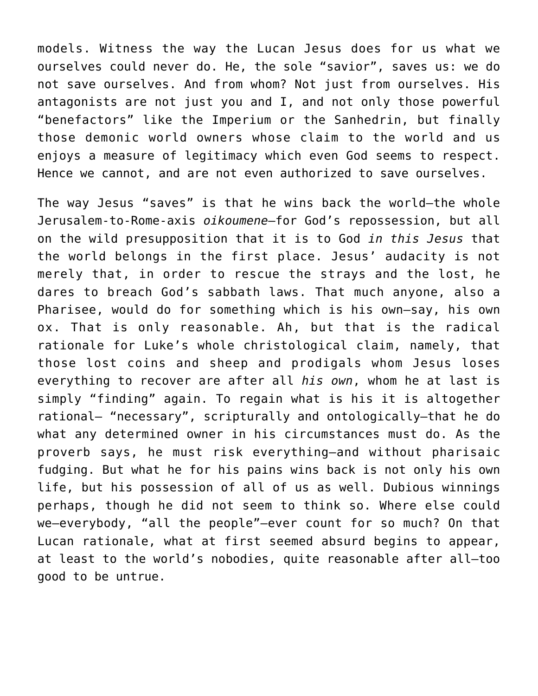models. Witness the way the Lucan Jesus does for us what we ourselves could never do. He, the sole "savior", saves us: we do not save ourselves. And from whom? Not just from ourselves. His antagonists are not just you and I, and not only those powerful "benefactors" like the Imperium or the Sanhedrin, but finally those demonic world owners whose claim to the world and us enjoys a measure of legitimacy which even God seems to respect. Hence we cannot, and are not even authorized to save ourselves.

The way Jesus "saves" is that he wins back the world—the whole Jerusalem-to-Rome-axis *oikoumene*—for God's repossession, but all on the wild presupposition that it is to God *in this Jesus* that the world belongs in the first place. Jesus' audacity is not merely that, in order to rescue the strays and the lost, he dares to breach God's sabbath laws. That much anyone, also a Pharisee, would do for something which is his own—say, his own ox. That is only reasonable. Ah, but that is the radical rationale for Luke's whole christological claim, namely, that those lost coins and sheep and prodigals whom Jesus loses everything to recover are after all *his own*, whom he at last is simply "finding" again. To regain what is his it is altogether rational— "necessary", scripturally and ontologically—that he do what any determined owner in his circumstances must do. As the proverb says, he must risk everything—and without pharisaic fudging. But what he for his pains wins back is not only his own life, but his possession of all of us as well. Dubious winnings perhaps, though he did not seem to think so. Where else could we—everybody, "all the people"—ever count for so much? On that Lucan rationale, what at first seemed absurd begins to appear, at least to the world's nobodies, quite reasonable after all—too good to be untrue.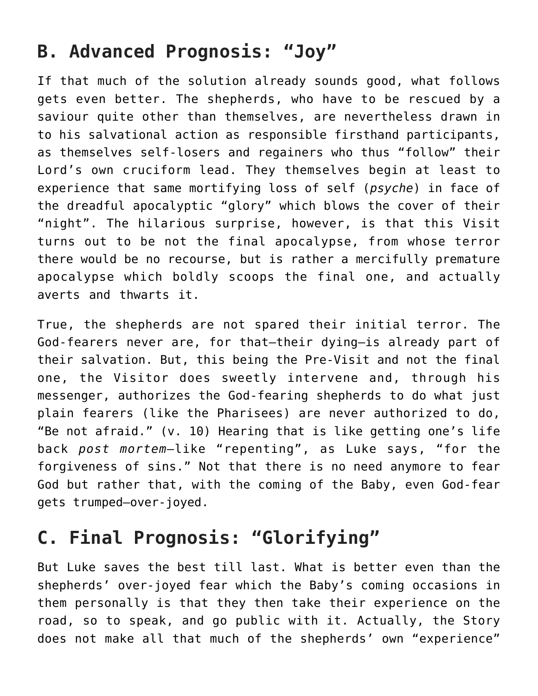### **B. Advanced Prognosis: "Joy"**

If that much of the solution already sounds good, what follows gets even better. The shepherds, who have to be rescued by a saviour quite other than themselves, are nevertheless drawn in to his salvational action as responsible firsthand participants, as themselves self-losers and regainers who thus "follow" their Lord's own cruciform lead. They themselves begin at least to experience that same mortifying loss of self (*psyche*) in face of the dreadful apocalyptic "glory" which blows the cover of their "night". The hilarious surprise, however, is that this Visit turns out to be not the final apocalypse, from whose terror there would be no recourse, but is rather a mercifully premature apocalypse which boldly scoops the final one, and actually averts and thwarts it.

True, the shepherds are not spared their initial terror. The God-fearers never are, for that—their dying—is already part of their salvation. But, this being the Pre-Visit and not the final one, the Visitor does sweetly intervene and, through his messenger, authorizes the God-fearing shepherds to do what just plain fearers (like the Pharisees) are never authorized to do, "Be not afraid." (v. 10) Hearing that is like getting one's life back *post mortem*—like "repenting", as Luke says, "for the forgiveness of sins." Not that there is no need anymore to fear God but rather that, with the coming of the Baby, even God-fear gets trumped—over-joyed.

## **C. Final Prognosis: "Glorifying"**

But Luke saves the best till last. What is better even than the shepherds' over-joyed fear which the Baby's coming occasions in them personally is that they then take their experience on the road, so to speak, and go public with it. Actually, the Story does not make all that much of the shepherds' own "experience"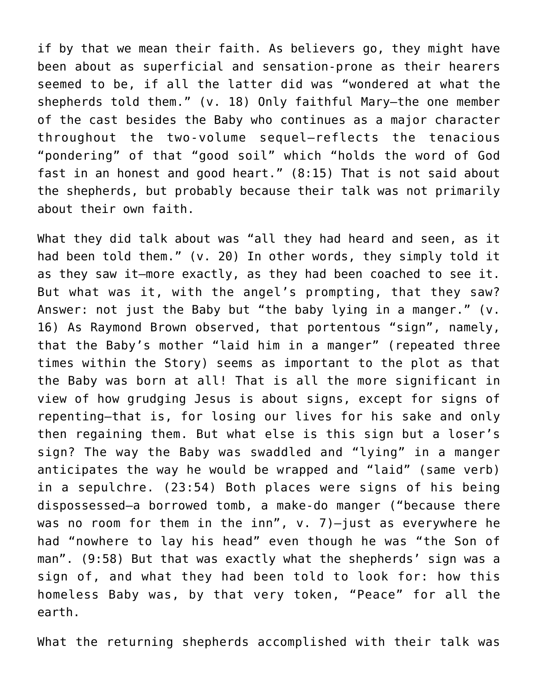if by that we mean their faith. As believers go, they might have been about as superficial and sensation-prone as their hearers seemed to be, if all the latter did was "wondered at what the shepherds told them." (v. 18) Only faithful Mary—the one member of the cast besides the Baby who continues as a major character throughout the two-volume sequel—reflects the tenacious "pondering" of that "good soil" which "holds the word of God fast in an honest and good heart." (8:15) That is not said about the shepherds, but probably because their talk was not primarily about their own faith.

What they did talk about was "all they had heard and seen, as it had been told them." (v. 20) In other words, they simply told it as they saw it—more exactly, as they had been coached to see it. But what was it, with the angel's prompting, that they saw? Answer: not just the Baby but "the baby lying in a manger." (v. 16) As Raymond Brown observed, that portentous "sign", namely, that the Baby's mother "laid him in a manger" (repeated three times within the Story) seems as important to the plot as that the Baby was born at all! That is all the more significant in view of how grudging Jesus is about signs, except for signs of repenting—that is, for losing our lives for his sake and only then regaining them. But what else is this sign but a loser's sign? The way the Baby was swaddled and "lying" in a manger anticipates the way he would be wrapped and "laid" (same verb) in a sepulchre. (23:54) Both places were signs of his being dispossessed—a borrowed tomb, a make-do manger ("because there was no room for them in the inn",  $v. 7$ )-just as everywhere he had "nowhere to lay his head" even though he was "the Son of man". (9:58) But that was exactly what the shepherds' sign was a sign of, and what they had been told to look for: how this homeless Baby was, by that very token, "Peace" for all the earth.

What the returning shepherds accomplished with their talk was